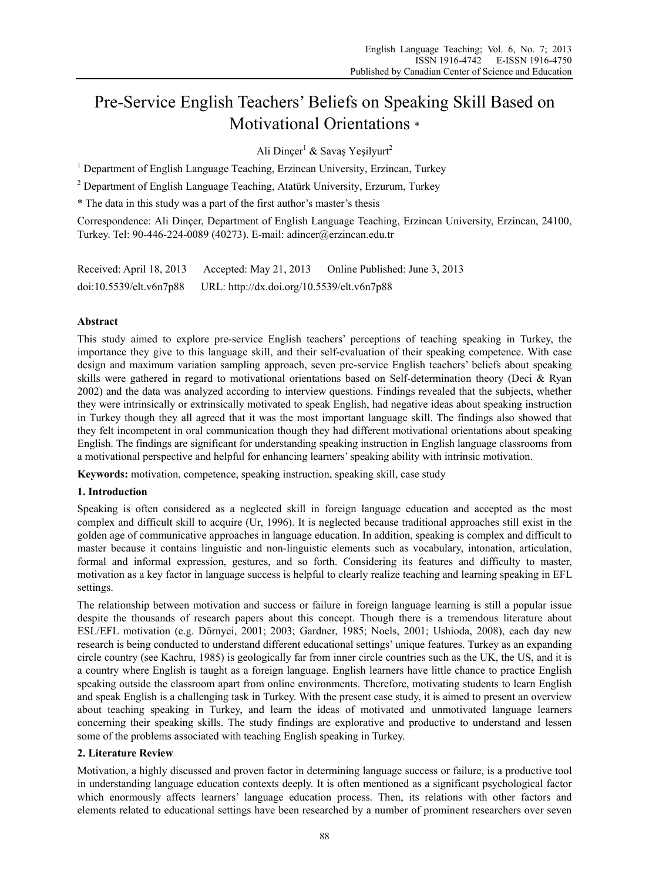# Pre-Service English Teachers' Beliefs on Speaking Skill Based on Motivational Orientations \*

Ali Dinçer<sup>1</sup> & Savaş Yeşilyurt<sup>2</sup>

<sup>1</sup> Department of English Language Teaching, Erzincan University, Erzincan, Turkey

<sup>2</sup> Department of English Language Teaching, Atatürk University, Erzurum, Turkey

\* The data in this study was a part of the first author's master's thesis

Correspondence: Ali Dinçer, Department of English Language Teaching, Erzincan University, Erzincan, 24100, Turkey. Tel: 90-446-224-0089 (40273). E-mail: adincer@erzincan.edu.tr

| Received: April 18, 2013 | Accepted: May 21, 2013                     | Online Published: June 3, 2013 |
|--------------------------|--------------------------------------------|--------------------------------|
| doi:10.5539/elt.v6n7p88  | URL: http://dx.doi.org/10.5539/elt.v6n7p88 |                                |

# **Abstract**

This study aimed to explore pre-service English teachers' perceptions of teaching speaking in Turkey, the importance they give to this language skill, and their self-evaluation of their speaking competence. With case design and maximum variation sampling approach, seven pre-service English teachers' beliefs about speaking skills were gathered in regard to motivational orientations based on Self-determination theory (Deci & Ryan 2002) and the data was analyzed according to interview questions. Findings revealed that the subjects, whether they were intrinsically or extrinsically motivated to speak English, had negative ideas about speaking instruction in Turkey though they all agreed that it was the most important language skill. The findings also showed that they felt incompetent in oral communication though they had different motivational orientations about speaking English. The findings are significant for understanding speaking instruction in English language classrooms from a motivational perspective and helpful for enhancing learners' speaking ability with intrinsic motivation.

**Keywords:** motivation, competence, speaking instruction, speaking skill, case study

# **1. Introduction**

Speaking is often considered as a neglected skill in foreign language education and accepted as the most complex and difficult skill to acquire (Ur, 1996). It is neglected because traditional approaches still exist in the golden age of communicative approaches in language education. In addition, speaking is complex and difficult to master because it contains linguistic and non-linguistic elements such as vocabulary, intonation, articulation, formal and informal expression, gestures, and so forth. Considering its features and difficulty to master, motivation as a key factor in language success is helpful to clearly realize teaching and learning speaking in EFL settings.

The relationship between motivation and success or failure in foreign language learning is still a popular issue despite the thousands of research papers about this concept. Though there is a tremendous literature about ESL/EFL motivation (e.g. Dörnyei, 2001; 2003; Gardner, 1985; Noels, 2001; Ushioda, 2008), each day new research is being conducted to understand different educational settings' unique features. Turkey as an expanding circle country (see Kachru, 1985) is geologically far from inner circle countries such as the UK, the US, and it is a country where English is taught as a foreign language. English learners have little chance to practice English speaking outside the classroom apart from online environments. Therefore, motivating students to learn English and speak English is a challenging task in Turkey. With the present case study, it is aimed to present an overview about teaching speaking in Turkey, and learn the ideas of motivated and unmotivated language learners concerning their speaking skills. The study findings are explorative and productive to understand and lessen some of the problems associated with teaching English speaking in Turkey.

# **2. Literature Review**

Motivation, a highly discussed and proven factor in determining language success or failure, is a productive tool in understanding language education contexts deeply. It is often mentioned as a significant psychological factor which enormously affects learners' language education process. Then, its relations with other factors and elements related to educational settings have been researched by a number of prominent researchers over seven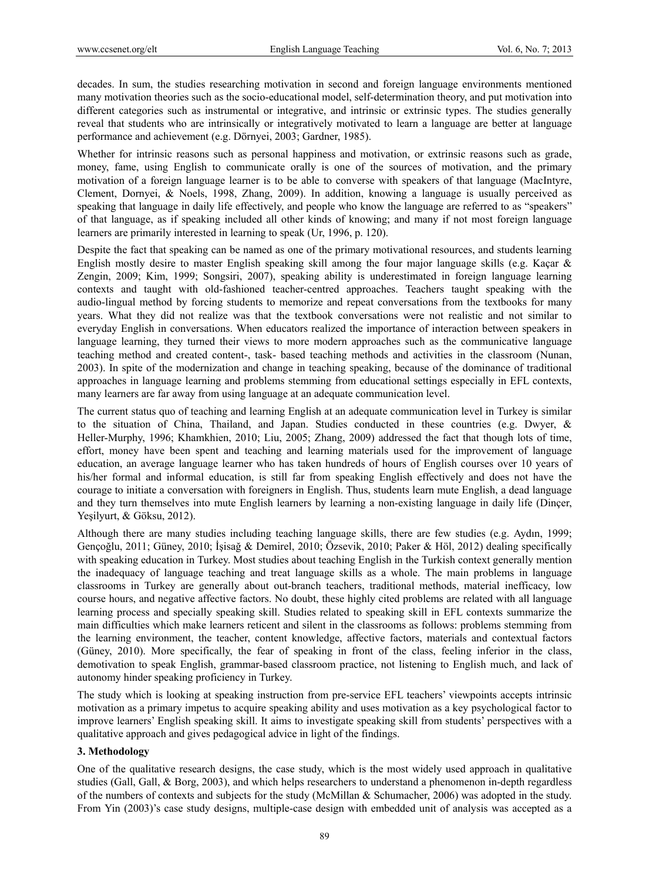decades. In sum, the studies researching motivation in second and foreign language environments mentioned many motivation theories such as the socio-educational model, self-determination theory, and put motivation into different categories such as instrumental or integrative, and intrinsic or extrinsic types. The studies generally reveal that students who are intrinsically or integratively motivated to learn a language are better at language performance and achievement (e.g. Dörnyei, 2003; Gardner, 1985).

Whether for intrinsic reasons such as personal happiness and motivation, or extrinsic reasons such as grade, money, fame, using English to communicate orally is one of the sources of motivation, and the primary motivation of a foreign language learner is to be able to converse with speakers of that language (MacIntyre, Clement, Dornyei, & Noels, 1998, Zhang, 2009). In addition, knowing a language is usually perceived as speaking that language in daily life effectively, and people who know the language are referred to as "speakers" of that language, as if speaking included all other kinds of knowing; and many if not most foreign language learners are primarily interested in learning to speak (Ur, 1996, p. 120).

Despite the fact that speaking can be named as one of the primary motivational resources, and students learning English mostly desire to master English speaking skill among the four major language skills (e.g. Kaçar & Zengin, 2009; Kim, 1999; Songsiri, 2007), speaking ability is underestimated in foreign language learning contexts and taught with old-fashioned teacher-centred approaches. Teachers taught speaking with the audio-lingual method by forcing students to memorize and repeat conversations from the textbooks for many years. What they did not realize was that the textbook conversations were not realistic and not similar to everyday English in conversations. When educators realized the importance of interaction between speakers in language learning, they turned their views to more modern approaches such as the communicative language teaching method and created content-, task- based teaching methods and activities in the classroom (Nunan, 2003). In spite of the modernization and change in teaching speaking, because of the dominance of traditional approaches in language learning and problems stemming from educational settings especially in EFL contexts, many learners are far away from using language at an adequate communication level.

The current status quo of teaching and learning English at an adequate communication level in Turkey is similar to the situation of China, Thailand, and Japan. Studies conducted in these countries (e.g. Dwyer, & Heller-Murphy, 1996; Khamkhien, 2010; Liu, 2005; Zhang, 2009) addressed the fact that though lots of time, effort, money have been spent and teaching and learning materials used for the improvement of language education, an average language learner who has taken hundreds of hours of English courses over 10 years of his/her formal and informal education, is still far from speaking English effectively and does not have the courage to initiate a conversation with foreigners in English. Thus, students learn mute English, a dead language and they turn themselves into mute English learners by learning a non-existing language in daily life (Dinçer, Yeşilyurt, & Göksu, 2012).

Although there are many studies including teaching language skills, there are few studies (e.g. Aydın, 1999; Gençoğlu, 2011; Güney, 2010; İşisağ & Demirel, 2010; Özsevik, 2010; Paker & Höl, 2012) dealing specifically with speaking education in Turkey. Most studies about teaching English in the Turkish context generally mention the inadequacy of language teaching and treat language skills as a whole. The main problems in language classrooms in Turkey are generally about out-branch teachers, traditional methods, material inefficacy, low course hours, and negative affective factors. No doubt, these highly cited problems are related with all language learning process and specially speaking skill. Studies related to speaking skill in EFL contexts summarize the main difficulties which make learners reticent and silent in the classrooms as follows: problems stemming from the learning environment, the teacher, content knowledge, affective factors, materials and contextual factors (Güney, 2010). More specifically, the fear of speaking in front of the class, feeling inferior in the class, demotivation to speak English, grammar-based classroom practice, not listening to English much, and lack of autonomy hinder speaking proficiency in Turkey.

The study which is looking at speaking instruction from pre-service EFL teachers' viewpoints accepts intrinsic motivation as a primary impetus to acquire speaking ability and uses motivation as a key psychological factor to improve learners' English speaking skill. It aims to investigate speaking skill from students' perspectives with a qualitative approach and gives pedagogical advice in light of the findings.

## **3. Methodology**

One of the qualitative research designs, the case study, which is the most widely used approach in qualitative studies (Gall, Gall, & Borg, 2003), and which helps researchers to understand a phenomenon in-depth regardless of the numbers of contexts and subjects for the study (McMillan & Schumacher, 2006) was adopted in the study. From Yin (2003)'s case study designs, multiple-case design with embedded unit of analysis was accepted as a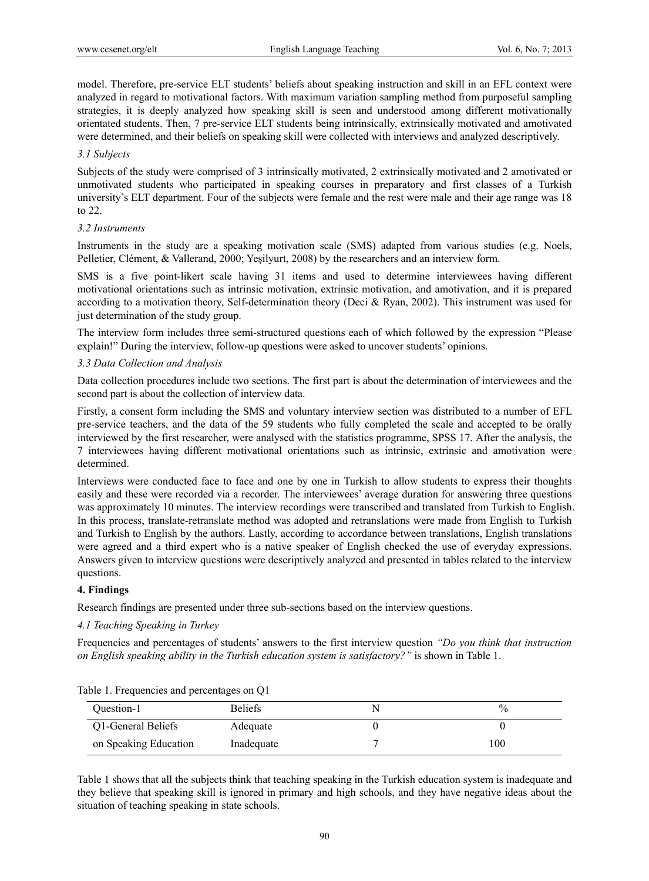model. Therefore, pre-service ELT students' beliefs about speaking instruction and skill in an EFL context were analyzed in regard to motivational factors. With maximum variation sampling method from purposeful sampling strategies, it is deeply analyzed how speaking skill is seen and understood among different motivationally orientated students. Then, 7 pre-service ELT students being intrinsically, extrinsically motivated and amotivated were determined, and their beliefs on speaking skill were collected with interviews and analyzed descriptively.

# *3.1 Subjects*

Subjects of the study were comprised of 3 intrinsically motivated, 2 extrinsically motivated and 2 amotivated or unmotivated students who participated in speaking courses in preparatory and first classes of a Turkish university's ELT department. Four of the subjects were female and the rest were male and their age range was 18 to 22.

#### *3.2 Instruments*

Instruments in the study are a speaking motivation scale (SMS) adapted from various studies (e.g. Noels, Pelletier, Clément, & Vallerand, 2000; Yeşilyurt, 2008) by the researchers and an interview form.

SMS is a five point-likert scale having 31 items and used to determine interviewees having different motivational orientations such as intrinsic motivation, extrinsic motivation, and amotivation, and it is prepared according to a motivation theory, Self-determination theory (Deci & Ryan, 2002). This instrument was used for just determination of the study group.

The interview form includes three semi-structured questions each of which followed by the expression "Please explain!" During the interview, follow-up questions were asked to uncover students' opinions.

#### *3.3 Data Collection and Analysis*

Data collection procedures include two sections. The first part is about the determination of interviewees and the second part is about the collection of interview data.

Firstly, a consent form including the SMS and voluntary interview section was distributed to a number of EFL pre-service teachers, and the data of the 59 students who fully completed the scale and accepted to be orally interviewed by the first researcher, were analysed with the statistics programme, SPSS 17. After the analysis, the 7 interviewees having different motivational orientations such as intrinsic, extrinsic and amotivation were determined.

Interviews were conducted face to face and one by one in Turkish to allow students to express their thoughts easily and these were recorded via a recorder. The interviewees' average duration for answering three questions was approximately 10 minutes. The interview recordings were transcribed and translated from Turkish to English. In this process, translate-retranslate method was adopted and retranslations were made from English to Turkish and Turkish to English by the authors. Lastly, according to accordance between translations, English translations were agreed and a third expert who is a native speaker of English checked the use of everyday expressions. Answers given to interview questions were descriptively analyzed and presented in tables related to the interview questions.

# **4. Findings**

Research findings are presented under three sub-sections based on the interview questions.

## *4.1 Teaching Speaking in Turkey*

Frequencies and percentages of students' answers to the first interview question *"Do you think that instruction on English speaking ability in the Turkish education system is satisfactory?"* is shown in Table 1.

| Question-1            | <b>Beliefs</b> |     |
|-----------------------|----------------|-----|
| Q1-General Beliefs    | Adequate       |     |
| on Speaking Education | Inadequate     | 100 |

Table 1. Frequencies and percentages on O1

Table 1 shows that all the subjects think that teaching speaking in the Turkish education system is inadequate and they believe that speaking skill is ignored in primary and high schools, and they have negative ideas about the situation of teaching speaking in state schools.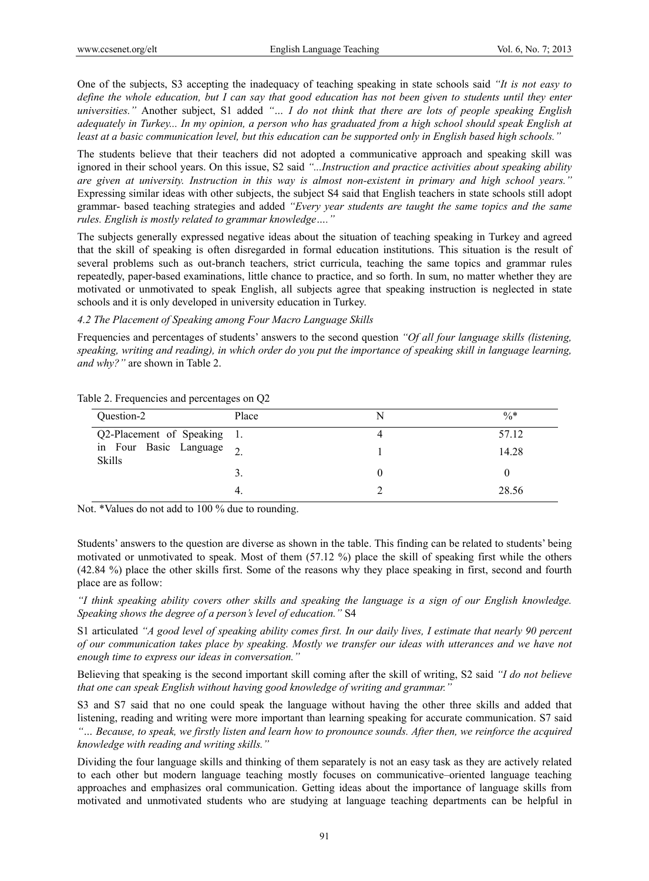One of the subjects, S3 accepting the inadequacy of teaching speaking in state schools said *"It is not easy to define the whole education, but I can say that good education has not been given to students until they enter universities."* Another subject, S1 added *"… I do not think that there are lots of people speaking English adequately in Turkey... In my opinion, a person who has graduated from a high school should speak English at least at a basic communication level, but this education can be supported only in English based high schools."* 

The students believe that their teachers did not adopted a communicative approach and speaking skill was ignored in their school years. On this issue, S2 said *"...Instruction and practice activities about speaking ability are given at university. Instruction in this way is almost non-existent in primary and high school years."*  Expressing similar ideas with other subjects, the subject S4 said that English teachers in state schools still adopt grammar- based teaching strategies and added *"Every year students are taught the same topics and the same rules. English is mostly related to grammar knowledge…."*

The subjects generally expressed negative ideas about the situation of teaching speaking in Turkey and agreed that the skill of speaking is often disregarded in formal education institutions. This situation is the result of several problems such as out-branch teachers, strict curricula, teaching the same topics and grammar rules repeatedly, paper-based examinations, little chance to practice, and so forth. In sum, no matter whether they are motivated or unmotivated to speak English, all subjects agree that speaking instruction is neglected in state schools and it is only developed in university education in Turkey.

*4.2 The Placement of Speaking among Four Macro Language Skills* 

Frequencies and percentages of students' answers to the second question *"Of all four language skills (listening, speaking, writing and reading), in which order do you put the importance of speaking skill in language learning, and why?"* are shown in Table 2.

| Question-2                                                                 | Place | $\%*$ |
|----------------------------------------------------------------------------|-------|-------|
| Q2-Placement of Speaking 1.<br>in Four Basic Language $2$<br><b>Skills</b> |       | 57.12 |
|                                                                            |       | 14.28 |
|                                                                            |       |       |
|                                                                            |       | 28.56 |

Table 2. Frequencies and percentages on Q2

Not. \*Values do not add to 100 % due to rounding.

Students' answers to the question are diverse as shown in the table. This finding can be related to students' being motivated or unmotivated to speak. Most of them (57.12 %) place the skill of speaking first while the others (42.84 %) place the other skills first. Some of the reasons why they place speaking in first, second and fourth place are as follow:

*"I think speaking ability covers other skills and speaking the language is a sign of our English knowledge. Speaking shows the degree of a person's level of education."* S4

S1 articulated *"A good level of speaking ability comes first. In our daily lives, I estimate that nearly 90 percent of our communication takes place by speaking. Mostly we transfer our ideas with utterances and we have not enough time to express our ideas in conversation."*

Believing that speaking is the second important skill coming after the skill of writing, S2 said *"I do not believe that one can speak English without having good knowledge of writing and grammar."* 

S3 and S7 said that no one could speak the language without having the other three skills and added that listening, reading and writing were more important than learning speaking for accurate communication. S7 said *"… Because, to speak, we firstly listen and learn how to pronounce sounds. After then, we reinforce the acquired knowledge with reading and writing skills."*

Dividing the four language skills and thinking of them separately is not an easy task as they are actively related to each other but modern language teaching mostly focuses on communicative–oriented language teaching approaches and emphasizes oral communication. Getting ideas about the importance of language skills from motivated and unmotivated students who are studying at language teaching departments can be helpful in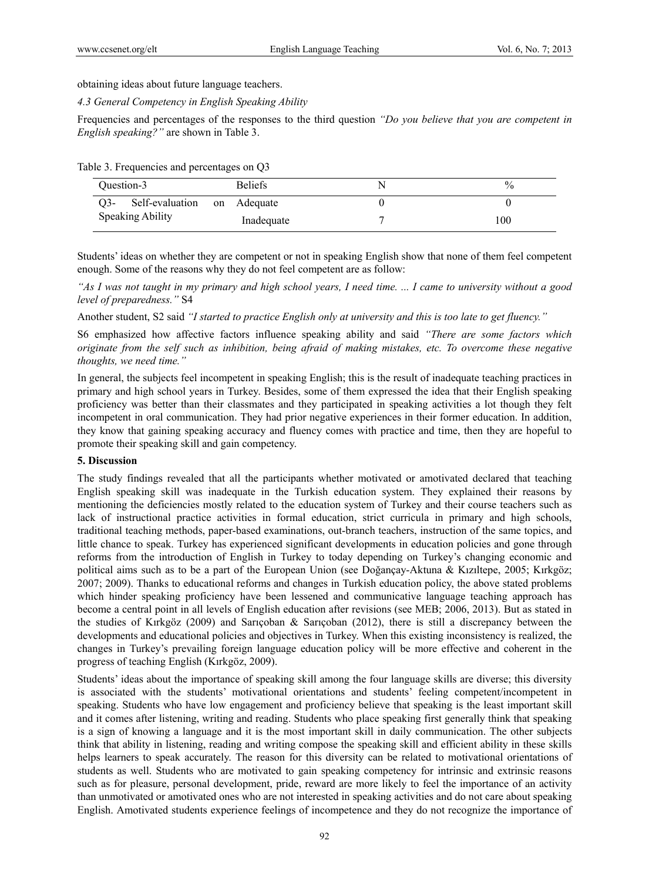obtaining ideas about future language teachers.

*4.3 General Competency in English Speaking Ability* 

Frequencies and percentages of the responses to the third question *"Do you believe that you are competent in English speaking?"* are shown in Table 3.

Table 3. Frequencies and percentages on Q3

| Question-3                           | <b>Beliefs</b> | $\frac{0}{0}$ |
|--------------------------------------|----------------|---------------|
| Self-evaluation on Adequate<br>$O3-$ |                |               |
| <b>Speaking Ability</b>              | Inadequate     | 100           |

Students' ideas on whether they are competent or not in speaking English show that none of them feel competent enough. Some of the reasons why they do not feel competent are as follow:

*"As I was not taught in my primary and high school years, I need time. ... I came to university without a good level of preparedness."* S4

Another student, S2 said *"I started to practice English only at university and this is too late to get fluency."*

S6 emphasized how affective factors influence speaking ability and said *"There are some factors which originate from the self such as inhibition, being afraid of making mistakes, etc. To overcome these negative thoughts, we need time."* 

In general, the subjects feel incompetent in speaking English; this is the result of inadequate teaching practices in primary and high school years in Turkey. Besides, some of them expressed the idea that their English speaking proficiency was better than their classmates and they participated in speaking activities a lot though they felt incompetent in oral communication. They had prior negative experiences in their former education. In addition, they know that gaining speaking accuracy and fluency comes with practice and time, then they are hopeful to promote their speaking skill and gain competency.

## **5. Discussion**

The study findings revealed that all the participants whether motivated or amotivated declared that teaching English speaking skill was inadequate in the Turkish education system. They explained their reasons by mentioning the deficiencies mostly related to the education system of Turkey and their course teachers such as lack of instructional practice activities in formal education, strict curricula in primary and high schools, traditional teaching methods, paper-based examinations, out-branch teachers, instruction of the same topics, and little chance to speak. Turkey has experienced significant developments in education policies and gone through reforms from the introduction of English in Turkey to today depending on Turkey's changing economic and political aims such as to be a part of the European Union (see Doğançay-Aktuna & Kızıltepe, 2005; Kırkgöz; 2007; 2009). Thanks to educational reforms and changes in Turkish education policy, the above stated problems which hinder speaking proficiency have been lessened and communicative language teaching approach has become a central point in all levels of English education after revisions (see MEB; 2006, 2013). But as stated in the studies of Kırkgöz (2009) and Sarıçoban & Sarıçoban (2012), there is still a discrepancy between the developments and educational policies and objectives in Turkey. When this existing inconsistency is realized, the changes in Turkey's prevailing foreign language education policy will be more effective and coherent in the progress of teaching English (Kırkgöz, 2009).

Students' ideas about the importance of speaking skill among the four language skills are diverse; this diversity is associated with the students' motivational orientations and students' feeling competent/incompetent in speaking. Students who have low engagement and proficiency believe that speaking is the least important skill and it comes after listening, writing and reading. Students who place speaking first generally think that speaking is a sign of knowing a language and it is the most important skill in daily communication. The other subjects think that ability in listening, reading and writing compose the speaking skill and efficient ability in these skills helps learners to speak accurately. The reason for this diversity can be related to motivational orientations of students as well. Students who are motivated to gain speaking competency for intrinsic and extrinsic reasons such as for pleasure, personal development, pride, reward are more likely to feel the importance of an activity than unmotivated or amotivated ones who are not interested in speaking activities and do not care about speaking English. Amotivated students experience feelings of incompetence and they do not recognize the importance of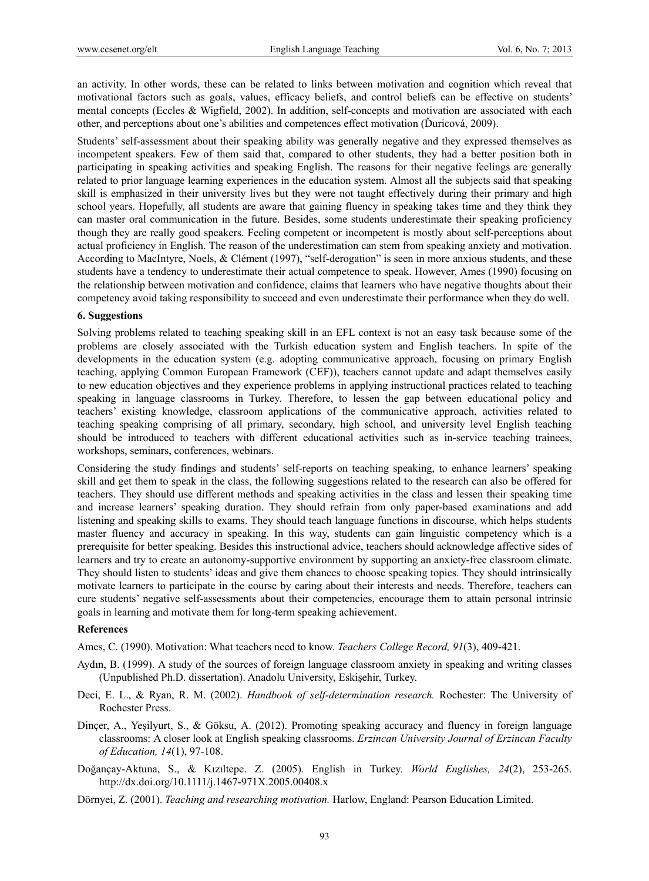an activity. In other words, these can be related to links between motivation and cognition which reveal that motivational factors such as goals, values, efficacy beliefs, and control beliefs can be effective on students' mental concepts (Eccles & Wigfield, 2002). In addition, self-concepts and motivation are associated with each other, and perceptions about one's abilities and competences effect motivation (Ďuricová, 2009).

Students' self-assessment about their speaking ability was generally negative and they expressed themselves as incompetent speakers. Few of them said that, compared to other students, they had a better position both in participating in speaking activities and speaking English. The reasons for their negative feelings are generally related to prior language learning experiences in the education system. Almost all the subjects said that speaking skill is emphasized in their university lives but they were not taught effectively during their primary and high school years. Hopefully, all students are aware that gaining fluency in speaking takes time and they think they can master oral communication in the future. Besides, some students underestimate their speaking proficiency though they are really good speakers. Feeling competent or incompetent is mostly about self-perceptions about actual proficiency in English. The reason of the underestimation can stem from speaking anxiety and motivation. According to MacIntyre, Noels, & Clément (1997), "self-derogation" is seen in more anxious students, and these students have a tendency to underestimate their actual competence to speak. However, Ames (1990) focusing on the relationship between motivation and confidence, claims that learners who have negative thoughts about their competency avoid taking responsibility to succeed and even underestimate their performance when they do well.

# **6. Suggestions**

Solving problems related to teaching speaking skill in an EFL context is not an easy task because some of the problems are closely associated with the Turkish education system and English teachers. In spite of the developments in the education system (e.g. adopting communicative approach, focusing on primary English teaching, applying Common European Framework (CEF)), teachers cannot update and adapt themselves easily to new education objectives and they experience problems in applying instructional practices related to teaching speaking in language classrooms in Turkey. Therefore, to lessen the gap between educational policy and teachers' existing knowledge, classroom applications of the communicative approach, activities related to teaching speaking comprising of all primary, secondary, high school, and university level English teaching should be introduced to teachers with different educational activities such as in-service teaching trainees, workshops, seminars, conferences, webinars.

Considering the study findings and students' self-reports on teaching speaking, to enhance learners' speaking skill and get them to speak in the class, the following suggestions related to the research can also be offered for teachers. They should use different methods and speaking activities in the class and lessen their speaking time and increase learners' speaking duration. They should refrain from only paper-based examinations and add listening and speaking skills to exams. They should teach language functions in discourse, which helps students master fluency and accuracy in speaking. In this way, students can gain linguistic competency which is a prerequisite for better speaking. Besides this instructional advice, teachers should acknowledge affective sides of learners and try to create an autonomy-supportive environment by supporting an anxiety-free classroom climate. They should listen to students' ideas and give them chances to choose speaking topics. They should intrinsically motivate learners to participate in the course by caring about their interests and needs. Therefore, teachers can cure students' negative self-assessments about their competencies, encourage them to attain personal intrinsic goals in learning and motivate them for long-term speaking achievement.

#### **References**

Ames, C. (1990). Motivation: What teachers need to know. *Teachers College Record, 91*(3), 409-421.

- Aydın, B. (1999). A study of the sources of foreign language classroom anxiety in speaking and writing classes (Unpublished Ph.D. dissertation). Anadolu University, Eskişehir, Turkey.
- Deci, E. L., & Ryan, R. M. (2002). *Handbook of self-determination research.* Rochester: The University of Rochester Press.
- Dinçer, A., Yeşilyurt, S., & Göksu, A. (2012). Promoting speaking accuracy and fluency in foreign language classrooms: A closer look at English speaking classrooms. *Erzincan University Journal of Erzincan Faculty of Education, 14*(1), 97-108.

Doğançay-Aktuna, S., & Kızıltepe. Z. (2005). English in Turkey. *World Englishes, 24*(2), 253-265. http://dx.doi.org/10.1111/j.1467-971X.2005.00408.x

Dörnyei, Z. (2001). *Teaching and researching motivation.* Harlow, England: Pearson Education Limited.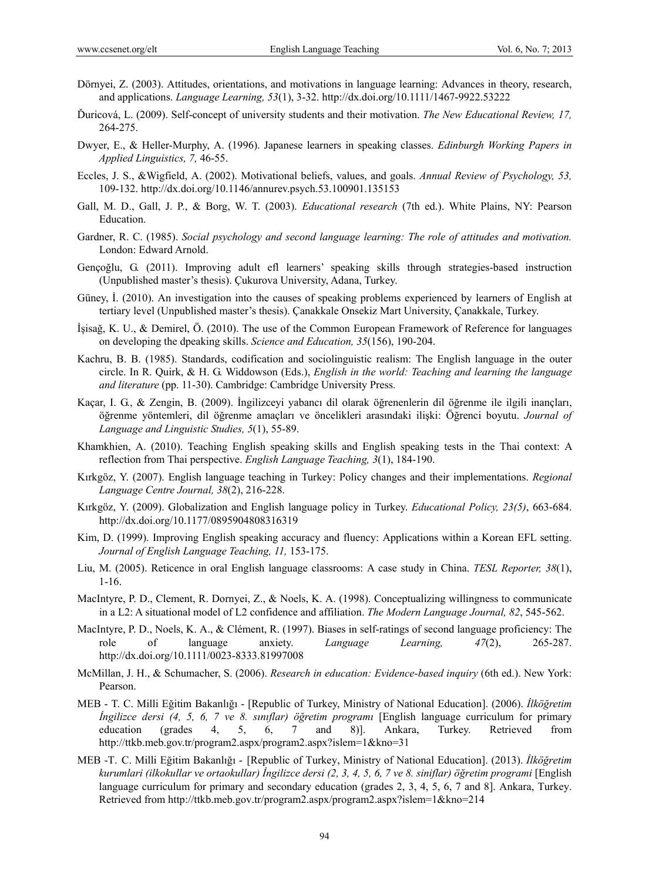- Dörnyei, Z. (2003). Attitudes, orientations, and motivations in language learning: Advances in theory, research, and applications. *Language Learning, 53*(1), 3-32. http://dx.doi.org/10.1111/1467-9922.53222
- Ďuricová, L. (2009). Self-concept of university students and their motivation. *The New Educational Review, 17,* 264-275.
- Dwyer, E., & Heller-Murphy, A. (1996). Japanese learners in speaking classes. *Edinburgh Working Papers in Applied Linguistics, 7,* 46-55.
- Eccles, J. S., &Wigfield, A. (2002). Motivational beliefs, values, and goals. *Annual Review of Psychology, 53,* 109-132. http://dx.doi.org/10.1146/annurev.psych.53.100901.135153
- Gall, M. D., Gall, J. P., & Borg, W. T. (2003). *Educational research* (7th ed.). White Plains, NY: Pearson Education.
- Gardner, R. C. (1985). *Social psychology and second language learning: The role of attitudes and motivation.* London: Edward Arnold.
- Gençoğlu, G. (2011). Improving adult efl learners' speaking skills through strategies-based instruction (Unpublished master's thesis). Çukurova University, Adana, Turkey.
- Güney, İ. (2010). An investigation into the causes of speaking problems experienced by learners of English at tertiary level (Unpublished master's thesis). Çanakkale Onsekiz Mart University, Çanakkale, Turkey.
- İşisağ, K. U., & Demirel, Ö. (2010). The use of the Common European Framework of Reference for languages on developing the dpeaking skills. *Science and Education, 35*(156), 190-204.
- Kachru, B. B. (1985). Standards, codification and sociolinguistic realism: The English language in the outer circle. In R. Quirk, & H. G. Widdowson (Eds.), *English in the world: Teaching and learning the language and literature* (pp. 11-30). Cambridge: Cambridge University Press.
- Kaçar, I. G., & Zengin, B. (2009). İngilizceyi yabancı dil olarak öğrenenlerin dil öğrenme ile ilgili inançları, öğrenme yöntemleri, dil öğrenme amaçları ve öncelikleri arasındaki ilişki: Öğrenci boyutu. *Journal of Language and Linguistic Studies, 5*(1), 55-89.
- Khamkhien, A. (2010). Teaching English speaking skills and English speaking tests in the Thai context: A reflection from Thai perspective. *English Language Teaching, 3*(1), 184-190.
- Kırkgöz, Y. (2007). English language teaching in Turkey: Policy changes and their implementations. *Regional Language Centre Journal, 38*(2), 216-228.
- Kırkgöz, Y. (2009). Globalization and English language policy in Turkey. *Educational Policy, 23(5)*, 663-684. http://dx.doi.org/10.1177/0895904808316319
- Kim, D. (1999). Improving English speaking accuracy and fluency: Applications within a Korean EFL setting. *Journal of English Language Teaching, 11,* 153-175.
- Liu, M. (2005). Reticence in oral English language classrooms: A case study in China. *TESL Reporter, 38*(1), 1-16.
- MacIntyre, P. D., Clement, R. Dornyei, Z., & Noels, K. A. (1998). Conceptualizing willingness to communicate in a L2: A situational model of L2 confidence and affiliation. *The Modern Language Journal, 82*, 545-562.
- MacIntyre, P. D., Noels, K. A., & Clément, R. (1997). Biases in self-ratings of second language proficiency: The role of language anxiety. *Language Learning, 47*(2), 265-287. http://dx.doi.org/10.1111/0023-8333.81997008
- McMillan, J. H., & Schumacher, S. (2006). *Research in education: Evidence-based inquiry* (6th ed.). New York: Pearson.
- MEB T. C. Milli Eğitim Bakanlığı [Republic of Turkey, Ministry of National Education]. (2006). *İlköğretim İngilizce dersi (4, 5, 6, 7 ve 8. sınıflar) öğretim programı* [English language curriculum for primary education (grades 4, 5, 6, 7 and 8)]. Ankara, Turkey. Retrieved from http://ttkb.meb.gov.tr/program2.aspx/program2.aspx?islem=1&kno=31
- MEB -T. C. Milli Eğitim Bakanlığı [Republic of Turkey, Ministry of National Education]. (2013). *İlköğretim kurumlari (ilkokullar ve ortaokullar) İngilizce dersi (2, 3, 4, 5, 6, 7 ve 8. siniflar) öğretim programi* [English language curriculum for primary and secondary education (grades 2, 3, 4, 5, 6, 7 and 8]. Ankara, Turkey. Retrieved from http://ttkb.meb.gov.tr/program2.aspx/program2.aspx?islem=1&kno=214